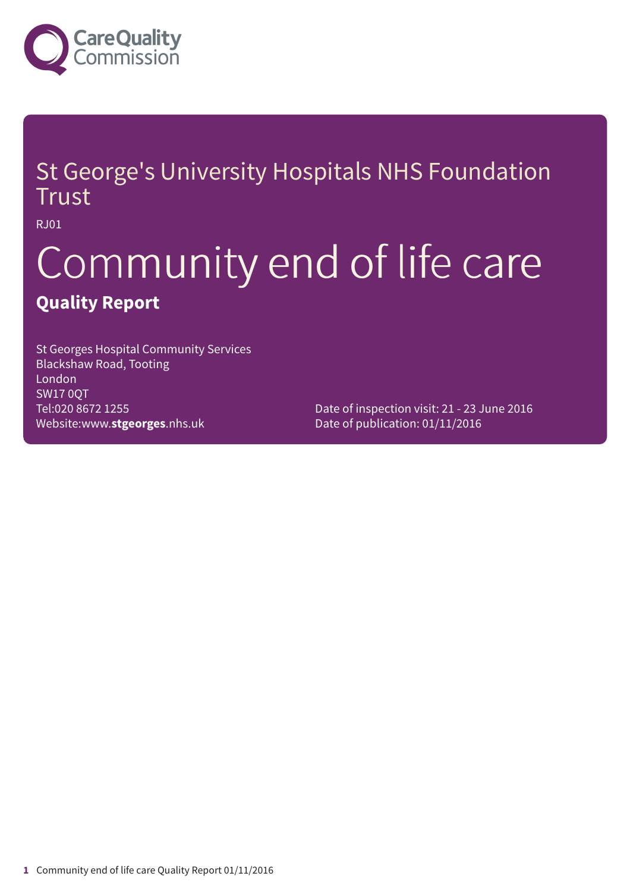

### St George's University Hospitals NHS Foundation Trust

RJ01

# Community end of life care **Quality Report**

St Georges Hospital Community Services Blackshaw Road, Tooting London SW17 0QT Tel:020 8672 1255 Website:www.**stgeorges**.nhs.uk

Date of inspection visit: 21 - 23 June 2016 Date of publication: 01/11/2016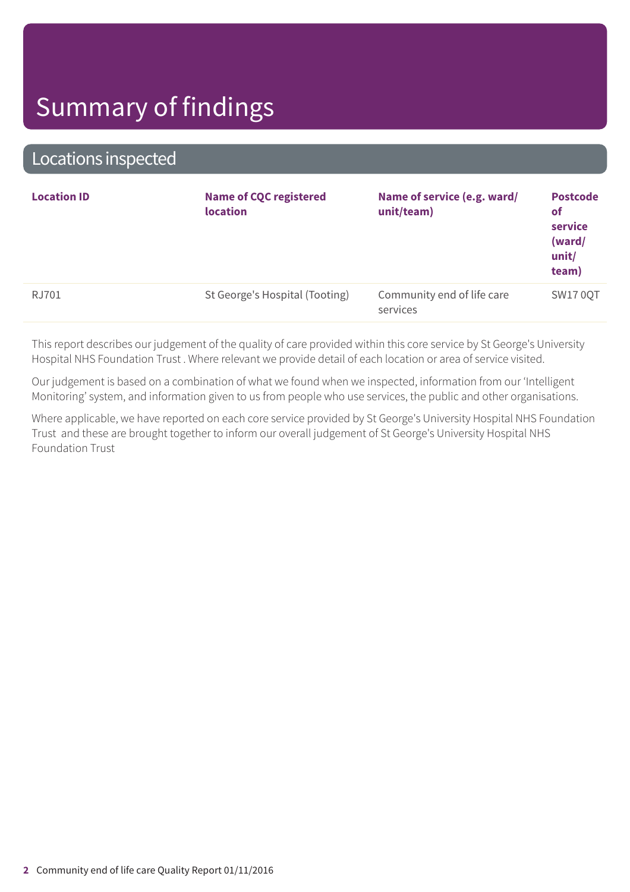### Locations inspected

| <b>Location ID</b> | <b>Name of CQC registered</b><br><b>location</b> | Name of service (e.g. ward/<br>unit/team) | <b>Postcode</b><br><b>of</b><br>service<br>(ward/<br>unit/<br>team) |
|--------------------|--------------------------------------------------|-------------------------------------------|---------------------------------------------------------------------|
| RJ701              | St George's Hospital (Tooting)                   | Community end of life care<br>services    | <b>SW17 0QT</b>                                                     |
|                    |                                                  |                                           |                                                                     |

This report describes our judgement of the quality of care provided within this core service by St George's University Hospital NHS Foundation Trust . Where relevant we provide detail of each location or area of service visited.

Our judgement is based on a combination of what we found when we inspected, information from our 'Intelligent Monitoring' system, and information given to us from people who use services, the public and other organisations.

Where applicable, we have reported on each core service provided by St George's University Hospital NHS Foundation Trust and these are brought together to inform our overall judgement of St George's University Hospital NHS Foundation Trust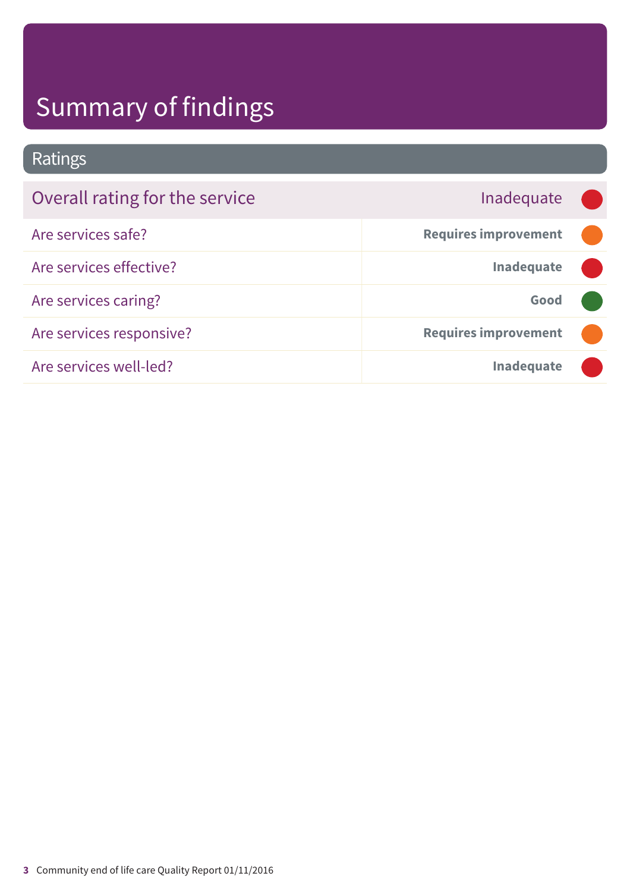Ratings

| Overall rating for the service | Inadequate                  |  |
|--------------------------------|-----------------------------|--|
| Are services safe?             | <b>Requires improvement</b> |  |
| Are services effective?        | <b>Inadequate</b>           |  |
| Are services caring?           | Good                        |  |
| Are services responsive?       | <b>Requires improvement</b> |  |
| Are services well-led?         | <b>Inadequate</b>           |  |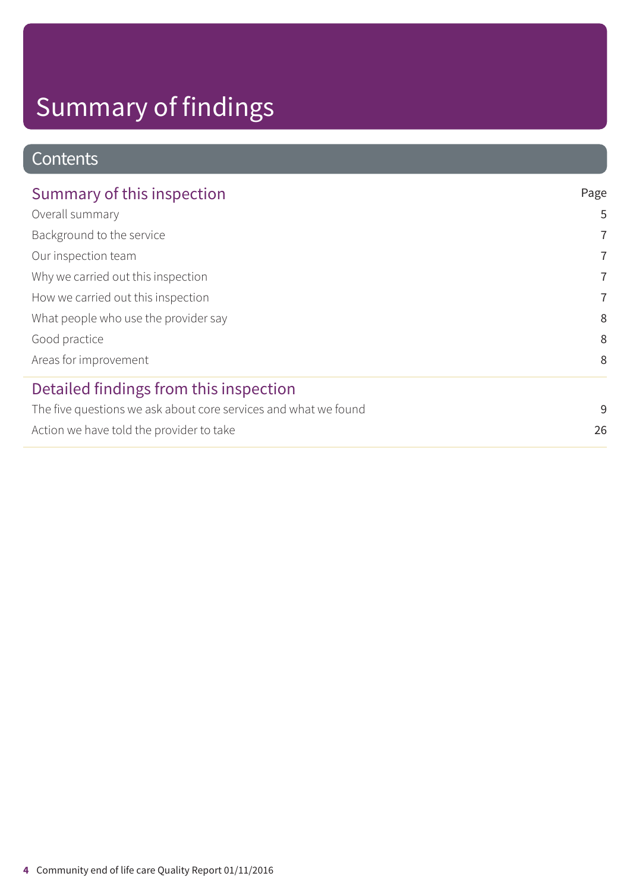### **Contents**

| Summary of this inspection                                      | Page           |
|-----------------------------------------------------------------|----------------|
| Overall summary                                                 | 5              |
| Background to the service                                       | $\overline{7}$ |
| Our inspection team                                             | 7              |
| Why we carried out this inspection                              | $\overline{7}$ |
| How we carried out this inspection                              | $\overline{7}$ |
| What people who use the provider say                            | 8              |
| Good practice                                                   | 8              |
| Areas for improvement                                           | 8              |
| Detailed findings from this inspection                          |                |
| The five questions we ask about core services and what we found | 9              |
| Action we have told the provider to take                        | 26             |
|                                                                 |                |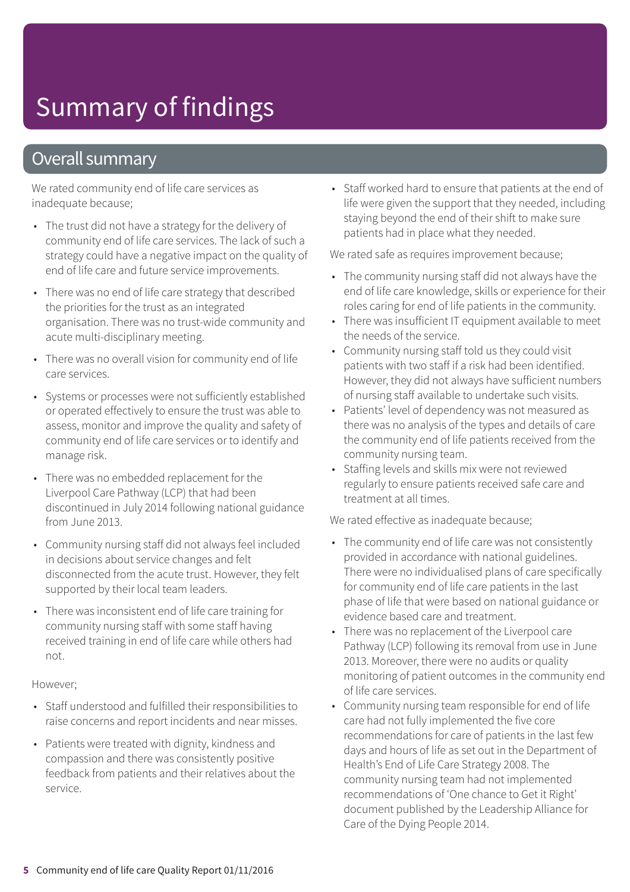### Overall summary

We rated community end of life care services as inadequate because;

- The trust did not have a strategy for the delivery of community end of life care services. The lack of such a strategy could have a negative impact on the quality of end of life care and future service improvements.
- There was no end of life care strategy that described the priorities for the trust as an integrated organisation. There was no trust-wide community and acute multi-disciplinary meeting.
- There was no overall vision for community end of life care services.
- Systems or processes were not sufficiently established or operated effectively to ensure the trust was able to assess, monitor and improve the quality and safety of community end of life care services or to identify and manage risk.
- There was no embedded replacement for the Liverpool Care Pathway (LCP) that had been discontinued in July 2014 following national guidance from June 2013.
- Community nursing staff did not always feel included in decisions about service changes and felt disconnected from the acute trust. However, they felt supported by their local team leaders.
- There was inconsistent end of life care training for community nursing staff with some staff having received training in end of life care while others had not.

#### However;

- Staff understood and fulfilled their responsibilities to raise concerns and report incidents and near misses.
- Patients were treated with dignity, kindness and compassion and there was consistently positive feedback from patients and their relatives about the service.

• Staff worked hard to ensure that patients at the end of life were given the support that they needed, including staying beyond the end of their shift to make sure patients had in place what they needed.

We rated safe as requires improvement because;

- The community nursing staff did not always have the end of life care knowledge, skills or experience for their roles caring for end of life patients in the community.
- There was insufficient IT equipment available to meet the needs of the service.
- Community nursing staff told us they could visit patients with two staff if a risk had been identified. However, they did not always have sufficient numbers of nursing staff available to undertake such visits.
- Patients' level of dependency was not measured as there was no analysis of the types and details of care the community end of life patients received from the community nursing team.
- Staffing levels and skills mix were not reviewed regularly to ensure patients received safe care and treatment at all times.

We rated effective as inadequate because;

- The community end of life care was not consistently provided in accordance with national guidelines. There were no individualised plans of care specifically for community end of life care patients in the last phase of life that were based on national guidance or evidence based care and treatment.
- There was no replacement of the Liverpool care Pathway (LCP) following its removal from use in June 2013. Moreover, there were no audits or quality monitoring of patient outcomes in the community end of life care services.
- Community nursing team responsible for end of life care had not fully implemented the five core recommendations for care of patients in the last few days and hours of life as set out in the Department of Health's End of Life Care Strategy 2008. The community nursing team had not implemented recommendations of 'One chance to Get it Right' document published by the Leadership Alliance for Care of the Dying People 2014.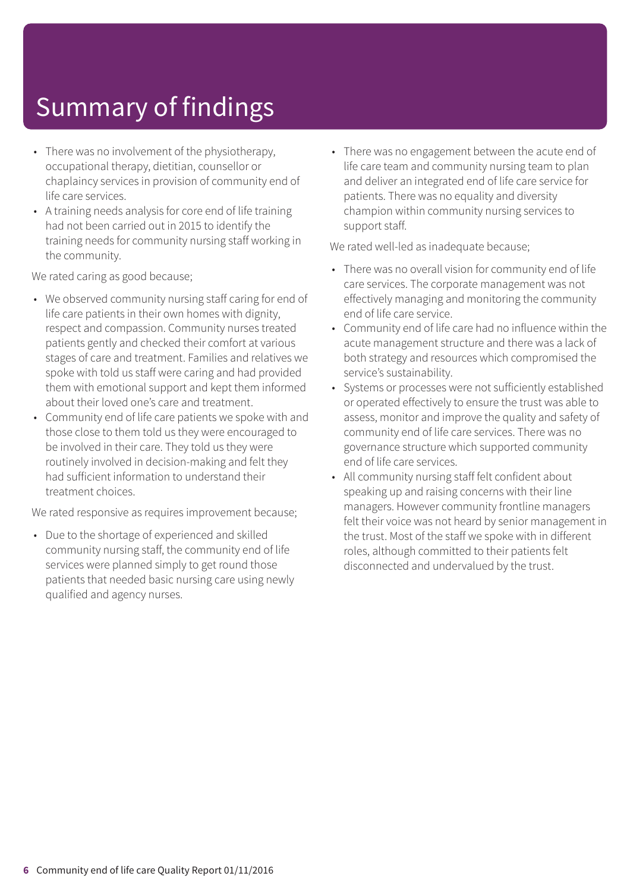- There was no involvement of the physiotherapy, occupational therapy, dietitian, counsellor or chaplaincy services in provision of community end of life care services.
- A training needs analysis for core end of life training had not been carried out in 2015 to identify the training needs for community nursing staff working in the community.

We rated caring as good because;

- We observed community nursing staff caring for end of life care patients in their own homes with dignity, respect and compassion. Community nurses treated patients gently and checked their comfort at various stages of care and treatment. Families and relatives we spoke with told us staff were caring and had provided them with emotional support and kept them informed about their loved one's care and treatment.
- Community end of life care patients we spoke with and those close to them told us they were encouraged to be involved in their care. They told us they were routinely involved in decision-making and felt they had sufficient information to understand their treatment choices.

We rated responsive as requires improvement because;

• Due to the shortage of experienced and skilled community nursing staff, the community end of life services were planned simply to get round those patients that needed basic nursing care using newly qualified and agency nurses.

• There was no engagement between the acute end of life care team and community nursing team to plan and deliver an integrated end of life care service for patients. There was no equality and diversity champion within community nursing services to support staff.

We rated well-led as inadequate because;

- There was no overall vision for community end of life care services. The corporate management was not effectively managing and monitoring the community end of life care service.
- Community end of life care had no influence within the acute management structure and there was a lack of both strategy and resources which compromised the service's sustainability.
- Systems or processes were not sufficiently established or operated effectively to ensure the trust was able to assess, monitor and improve the quality and safety of community end of life care services. There was no governance structure which supported community end of life care services.
- All community nursing staff felt confident about speaking up and raising concerns with their line managers. However community frontline managers felt their voice was not heard by senior management in the trust. Most of the staff we spoke with in different roles, although committed to their patients felt disconnected and undervalued by the trust.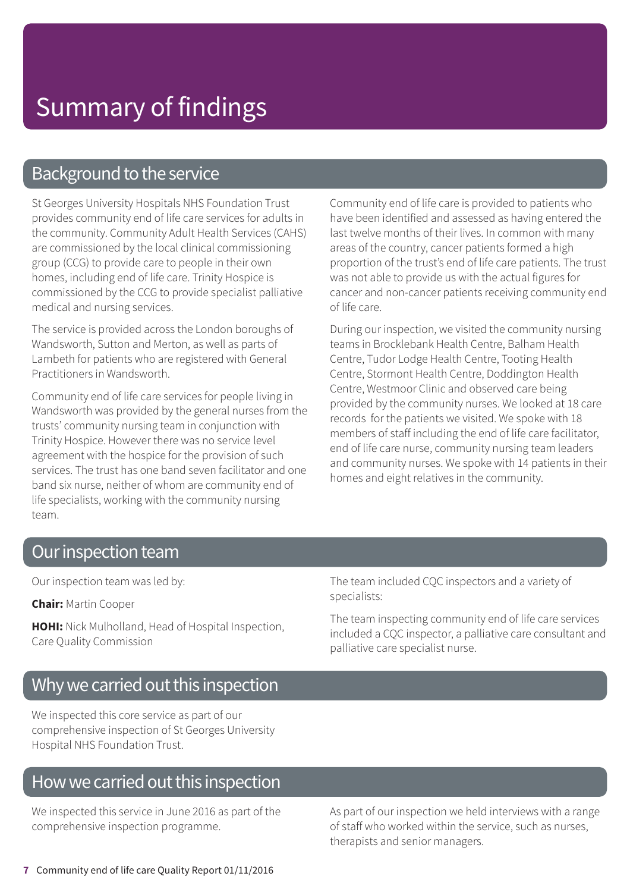### Background to the service

St Georges University Hospitals NHS Foundation Trust provides community end of life care services for adults in the community. Community Adult Health Services (CAHS) are commissioned by the local clinical commissioning group (CCG) to provide care to people in their own homes, including end of life care. Trinity Hospice is commissioned by the CCG to provide specialist palliative medical and nursing services.

The service is provided across the London boroughs of Wandsworth, Sutton and Merton, as well as parts of Lambeth for patients who are registered with General Practitioners in Wandsworth.

Community end of life care services for people living in Wandsworth was provided by the general nurses from the trusts' community nursing team in conjunction with Trinity Hospice. However there was no service level agreement with the hospice for the provision of such services. The trust has one band seven facilitator and one band six nurse, neither of whom are community end of life specialists, working with the community nursing team.

Community end of life care is provided to patients who have been identified and assessed as having entered the last twelve months of their lives. In common with many areas of the country, cancer patients formed a high proportion of the trust's end of life care patients. The trust was not able to provide us with the actual figures for cancer and non-cancer patients receiving community end of life care.

During our inspection, we visited the community nursing teams in Brocklebank Health Centre, Balham Health Centre, Tudor Lodge Health Centre, Tooting Health Centre, Stormont Health Centre, Doddington Health Centre, Westmoor Clinic and observed care being provided by the community nurses. We looked at 18 care records for the patients we visited. We spoke with 18 members of staff including the end of life care facilitator, end of life care nurse, community nursing team leaders and community nurses. We spoke with 14 patients in their homes and eight relatives in the community.

### Our inspection team

Our inspection team was led by:

**Chair:** Martin Cooper

**HOHI:** Nick Mulholland, Head of Hospital Inspection, Care Quality Commission

The team included CQC inspectors and a variety of specialists:

The team inspecting community end of life care services included a CQC inspector, a palliative care consultant and palliative care specialist nurse.

### Why we carried out this inspection

We inspected this core service as part of our comprehensive inspection of St Georges University Hospital NHS Foundation Trust.

### How we carried out this inspection

We inspected this service in June 2016 as part of the comprehensive inspection programme.

As part of our inspection we held interviews with a range of staff who worked within the service, such as nurses, therapists and senior managers.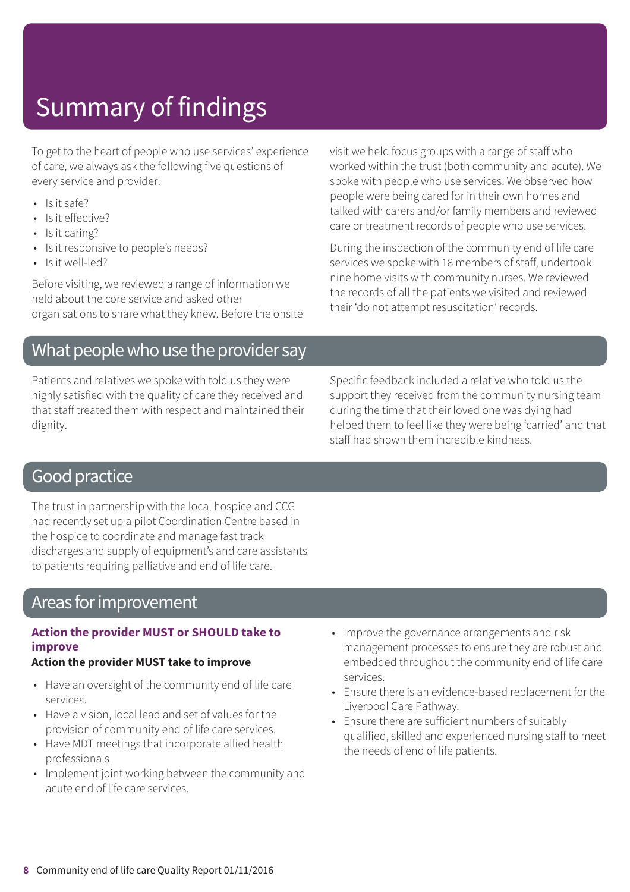To get to the heart of people who use services' experience of care, we always ask the following five questions of every service and provider:

- Is it safe?
- Is it effective?
- Is it caring?
- Is it responsive to people's needs?
- Is it well-led?

Before visiting, we reviewed a range of information we held about the core service and asked other organisations to share what they knew. Before the onsite

### What people who use the provider say

Patients and relatives we spoke with told us they were highly satisfied with the quality of care they received and that staff treated them with respect and maintained their dignity.

visit we held focus groups with a range of staff who worked within the trust (both community and acute). We spoke with people who use services. We observed how people were being cared for in their own homes and talked with carers and/or family members and reviewed care or treatment records of people who use services.

During the inspection of the community end of life care services we spoke with 18 members of staff, undertook nine home visits with community nurses. We reviewed the records of all the patients we visited and reviewed their 'do not attempt resuscitation' records.

Specific feedback included a relative who told us the support they received from the community nursing team during the time that their loved one was dying had helped them to feel like they were being 'carried' and that staff had shown them incredible kindness.

### **Good practice**

The trust in partnership with the local hospice and CCG had recently set up a pilot Coordination Centre based in the hospice to coordinate and manage fast track discharges and supply of equipment's and care assistants to patients requiring palliative and end of life care.

### Areas for improvement

### **Action the provider MUST or SHOULD take to improve**

### **Action the provider MUST take to improve**

- Have an oversight of the community end of life care services.
- Have a vision, local lead and set of values for the provision of community end of life care services.
- Have MDT meetings that incorporate allied health professionals.
- Implement joint working between the community and acute end of life care services.
- Improve the governance arrangements and risk management processes to ensure they are robust and embedded throughout the community end of life care services.
- Ensure there is an evidence-based replacement for the Liverpool Care Pathway.
- Ensure there are sufficient numbers of suitably qualified, skilled and experienced nursing staff to meet the needs of end of life patients.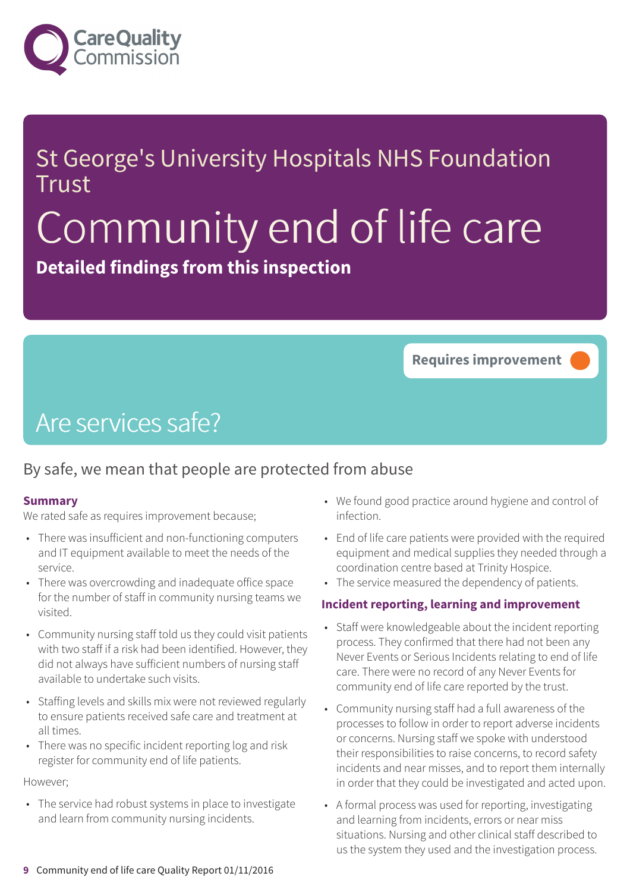

### St George's University Hospitals NHS Foundation **Trust**

# Community end of life care

**Detailed findings from this inspection**

**Requires improvement –––**

### Are services safe?

### By safe, we mean that people are protected from abuse

#### **Summary**

We rated safe as requires improvement because;

- There was insufficient and non-functioning computers and IT equipment available to meet the needs of the service.
- There was overcrowding and inadequate office space for the number of staff in community nursing teams we visited.
- Community nursing staff told us they could visit patients with two staff if a risk had been identified. However, they did not always have sufficient numbers of nursing staff available to undertake such visits.
- Staffing levels and skills mix were not reviewed regularly to ensure patients received safe care and treatment at all times.
- There was no specific incident reporting log and risk register for community end of life patients.

#### However;

• The service had robust systems in place to investigate and learn from community nursing incidents.

- We found good practice around hygiene and control of infection.
- End of life care patients were provided with the required equipment and medical supplies they needed through a coordination centre based at Trinity Hospice.
- The service measured the dependency of patients.

#### **Incident reporting, learning and improvement**

- Staff were knowledgeable about the incident reporting process. They confirmed that there had not been any Never Events or Serious Incidents relating to end of life care. There were no record of any Never Events for community end of life care reported by the trust.
- Community nursing staff had a full awareness of the processes to follow in order to report adverse incidents or concerns. Nursing staff we spoke with understood their responsibilities to raise concerns, to record safety incidents and near misses, and to report them internally in order that they could be investigated and acted upon.
- A formal process was used for reporting, investigating and learning from incidents, errors or near miss situations. Nursing and other clinical staff described to us the system they used and the investigation process.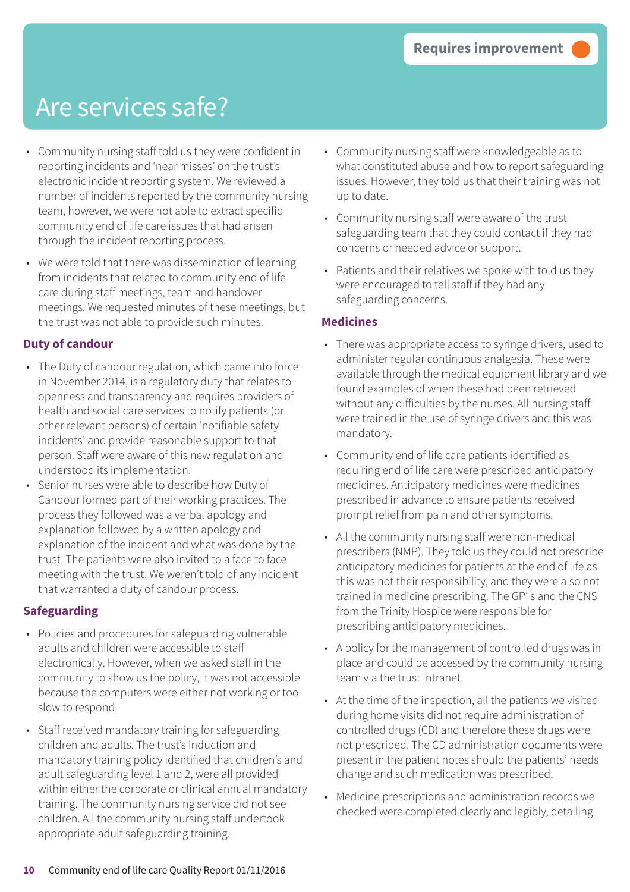- Community nursing staff told us they were confident in reporting incidents and 'near misses' on the trust's electronic incident reporting system. We reviewed a number of incidents reported by the community nursing team, however, we were not able to extract specific community end of life care issues that had arisen through the incident reporting process.
- We were told that there was dissemination of learning from incidents that related to community end of life care during staff meetings, team and handover meetings. We requested minutes of these meetings, but the trust was not able to provide such minutes.

### **Duty of candour**

- The Duty of candour regulation, which came into force in November 2014, is a regulatory duty that relates to openness and transparency and requires providers of health and social care services to notify patients (or other relevant persons) of certain 'notifiable safety incidents' and provide reasonable support to that person. Staff were aware of this new regulation and understood its implementation.
- Senior nurses were able to describe how Duty of Candour formed part of their working practices. The process they followed was a verbal apology and explanation followed by a written apology and explanation of the incident and what was done by the trust. The patients were also invited to a face to face meeting with the trust. We weren't told of any incident that warranted a duty of candour process.

### **Safeguarding**

- Policies and procedures for safeguarding vulnerable adults and children were accessible to staff electronically. However, when we asked staff in the community to show us the policy, it was not accessible because the computers were either not working or too slow to respond.
- Staff received mandatory training for safeguarding children and adults. The trust's induction and mandatory training policy identified that children's and adult safeguarding level 1 and 2, were all provided within either the corporate or clinical annual mandatory training. The community nursing service did not see children. All the community nursing staff undertook appropriate adult safeguarding training.
- Community nursing staff were knowledgeable as to what constituted abuse and how to report safeguarding issues. However, they told us that their training was not up to date.
- Community nursing staff were aware of the trust safeguarding team that they could contact if they had concerns or needed advice or support.
- Patients and their relatives we spoke with told us they were encouraged to tell staff if they had any safeguarding concerns.

#### **Medicines**

- There was appropriate access to syringe drivers, used to administer regular continuous analgesia. These were available through the medical equipment library and we found examples of when these had been retrieved without any difficulties by the nurses. All nursing staff were trained in the use of syringe drivers and this was mandatory.
- Community end of life care patients identified as requiring end of life care were prescribed anticipatory medicines. Anticipatory medicines were medicines prescribed in advance to ensure patients received prompt relief from pain and other symptoms.
- All the community nursing staff were non-medical prescribers (NMP). They told us they could not prescribe anticipatory medicines for patients at the end of life as this was not their responsibility, and they were also not trained in medicine prescribing. The GP' s and the CNS from the Trinity Hospice were responsible for prescribing anticipatory medicines.
- A policy for the management of controlled drugs was in place and could be accessed by the community nursing team via the trust intranet.
- At the time of the inspection, all the patients we visited during home visits did not require administration of controlled drugs (CD) and therefore these drugs were not prescribed. The CD administration documents were present in the patient notes should the patients' needs change and such medication was prescribed.
- Medicine prescriptions and administration records we checked were completed clearly and legibly, detailing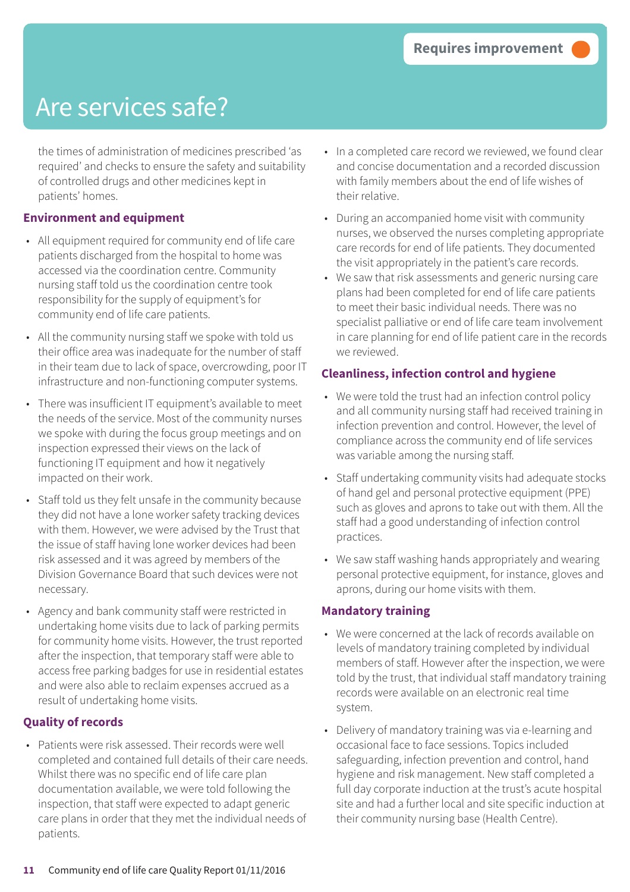the times of administration of medicines prescribed 'as required' and checks to ensure the safety and suitability of controlled drugs and other medicines kept in patients' homes.

### **Environment and equipment**

- All equipment required for community end of life care patients discharged from the hospital to home was accessed via the coordination centre. Community nursing staff told us the coordination centre took responsibility for the supply of equipment's for community end of life care patients.
- All the community nursing staff we spoke with told us their office area was inadequate for the number of staff in their team due to lack of space, overcrowding, poor IT infrastructure and non-functioning computer systems.
- There was insufficient IT equipment's available to meet the needs of the service. Most of the community nurses we spoke with during the focus group meetings and on inspection expressed their views on the lack of functioning IT equipment and how it negatively impacted on their work.
- Staff told us they felt unsafe in the community because they did not have a lone worker safety tracking devices with them. However, we were advised by the Trust that the issue of staff having lone worker devices had been risk assessed and it was agreed by members of the Division Governance Board that such devices were not necessary.
- Agency and bank community staff were restricted in undertaking home visits due to lack of parking permits for community home visits. However, the trust reported after the inspection, that temporary staff were able to access free parking badges for use in residential estates and were also able to reclaim expenses accrued as a result of undertaking home visits.

### **Quality of records**

• Patients were risk assessed. Their records were well completed and contained full details of their care needs. Whilst there was no specific end of life care plan documentation available, we were told following the inspection, that staff were expected to adapt generic care plans in order that they met the individual needs of patients.

- In a completed care record we reviewed, we found clear and concise documentation and a recorded discussion with family members about the end of life wishes of their relative.
- During an accompanied home visit with community nurses, we observed the nurses completing appropriate care records for end of life patients. They documented the visit appropriately in the patient's care records.
- We saw that risk assessments and generic nursing care plans had been completed for end of life care patients to meet their basic individual needs. There was no specialist palliative or end of life care team involvement in care planning for end of life patient care in the records we reviewed.

### **Cleanliness, infection control and hygiene**

- We were told the trust had an infection control policy and all community nursing staff had received training in infection prevention and control. However, the level of compliance across the community end of life services was variable among the nursing staff.
- Staff undertaking community visits had adequate stocks of hand gel and personal protective equipment (PPE) such as gloves and aprons to take out with them. All the staff had a good understanding of infection control practices.
- We saw staff washing hands appropriately and wearing personal protective equipment, for instance, gloves and aprons, during our home visits with them.

### **Mandatory training**

- We were concerned at the lack of records available on levels of mandatory training completed by individual members of staff. However after the inspection, we were told by the trust, that individual staff mandatory training records were available on an electronic real time system.
- Delivery of mandatory training was via e-learning and occasional face to face sessions. Topics included safeguarding, infection prevention and control, hand hygiene and risk management. New staff completed a full day corporate induction at the trust's acute hospital site and had a further local and site specific induction at their community nursing base (Health Centre).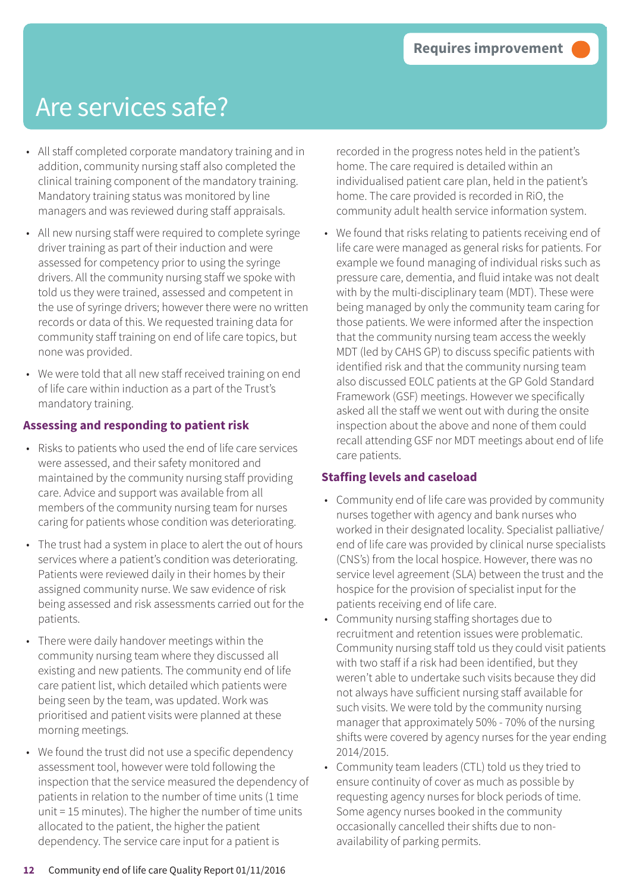- All staff completed corporate mandatory training and in addition, community nursing staff also completed the clinical training component of the mandatory training. Mandatory training status was monitored by line managers and was reviewed during staff appraisals.
- All new nursing staff were required to complete syringe driver training as part of their induction and were assessed for competency prior to using the syringe drivers. All the community nursing staff we spoke with told us they were trained, assessed and competent in the use of syringe drivers; however there were no written records or data of this. We requested training data for community staff training on end of life care topics, but none was provided.
- We were told that all new staff received training on end of life care within induction as a part of the Trust's mandatory training.

### **Assessing and responding to patient risk**

- Risks to patients who used the end of life care services were assessed, and their safety monitored and maintained by the community nursing staff providing care. Advice and support was available from all members of the community nursing team for nurses caring for patients whose condition was deteriorating.
- The trust had a system in place to alert the out of hours services where a patient's condition was deteriorating. Patients were reviewed daily in their homes by their assigned community nurse. We saw evidence of risk being assessed and risk assessments carried out for the patients.
- There were daily handover meetings within the community nursing team where they discussed all existing and new patients. The community end of life care patient list, which detailed which patients were being seen by the team, was updated. Work was prioritised and patient visits were planned at these morning meetings.
- We found the trust did not use a specific dependency assessment tool, however were told following the inspection that the service measured the dependency of patients in relation to the number of time units (1 time unit = 15 minutes). The higher the number of time units allocated to the patient, the higher the patient dependency. The service care input for a patient is

recorded in the progress notes held in the patient's home. The care required is detailed within an individualised patient care plan, held in the patient's home. The care provided is recorded in RiO, the community adult health service information system.

• We found that risks relating to patients receiving end of life care were managed as general risks for patients. For example we found managing of individual risks such as pressure care, dementia, and fluid intake was not dealt with by the multi-disciplinary team (MDT). These were being managed by only the community team caring for those patients. We were informed after the inspection that the community nursing team access the weekly MDT (led by CAHS GP) to discuss specific patients with identified risk and that the community nursing team also discussed EOLC patients at the GP Gold Standard Framework (GSF) meetings. However we specifically asked all the staff we went out with during the onsite inspection about the above and none of them could recall attending GSF nor MDT meetings about end of life care patients.

### **Staffing levels and caseload**

- Community end of life care was provided by community nurses together with agency and bank nurses who worked in their designated locality. Specialist palliative/ end of life care was provided by clinical nurse specialists (CNS's) from the local hospice. However, there was no service level agreement (SLA) between the trust and the hospice for the provision of specialist input for the patients receiving end of life care.
- Community nursing staffing shortages due to recruitment and retention issues were problematic. Community nursing staff told us they could visit patients with two staff if a risk had been identified, but they weren't able to undertake such visits because they did not always have sufficient nursing staff available for such visits. We were told by the community nursing manager that approximately 50% - 70% of the nursing shifts were covered by agency nurses for the year ending 2014/2015.
- Community team leaders (CTL) told us they tried to ensure continuity of cover as much as possible by requesting agency nurses for block periods of time. Some agency nurses booked in the community occasionally cancelled their shifts due to nonavailability of parking permits.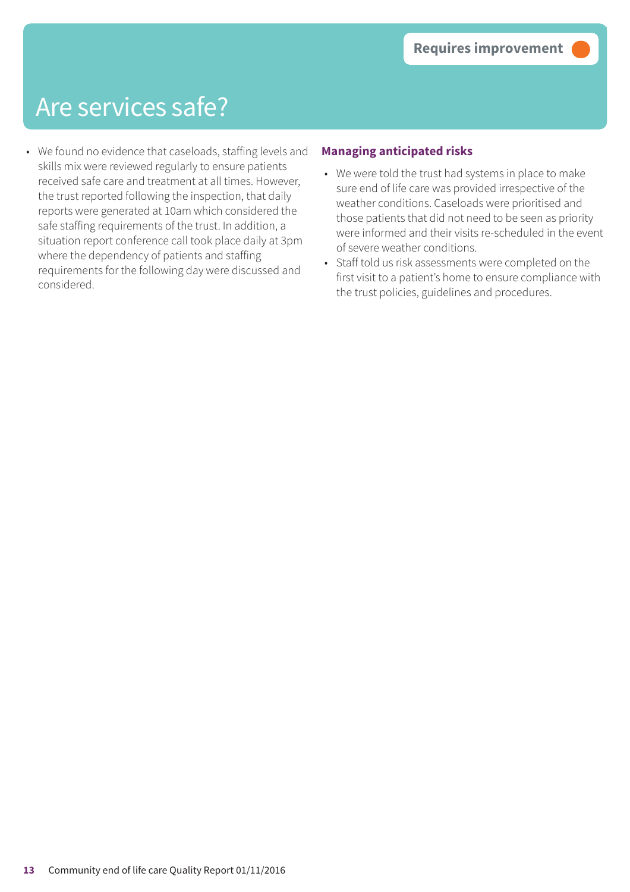• We found no evidence that caseloads, staffing levels and skills mix were reviewed regularly to ensure patients received safe care and treatment at all times. However, the trust reported following the inspection, that daily reports were generated at 10am which considered the safe staffing requirements of the trust. In addition, a situation report conference call took place daily at 3pm where the dependency of patients and staffing requirements for the following day were discussed and considered.

### **Managing anticipated risks**

- We were told the trust had systems in place to make sure end of life care was provided irrespective of the weather conditions. Caseloads were prioritised and those patients that did not need to be seen as priority were informed and their visits re-scheduled in the event of severe weather conditions.
- Staff told us risk assessments were completed on the first visit to a patient's home to ensure compliance with the trust policies, guidelines and procedures.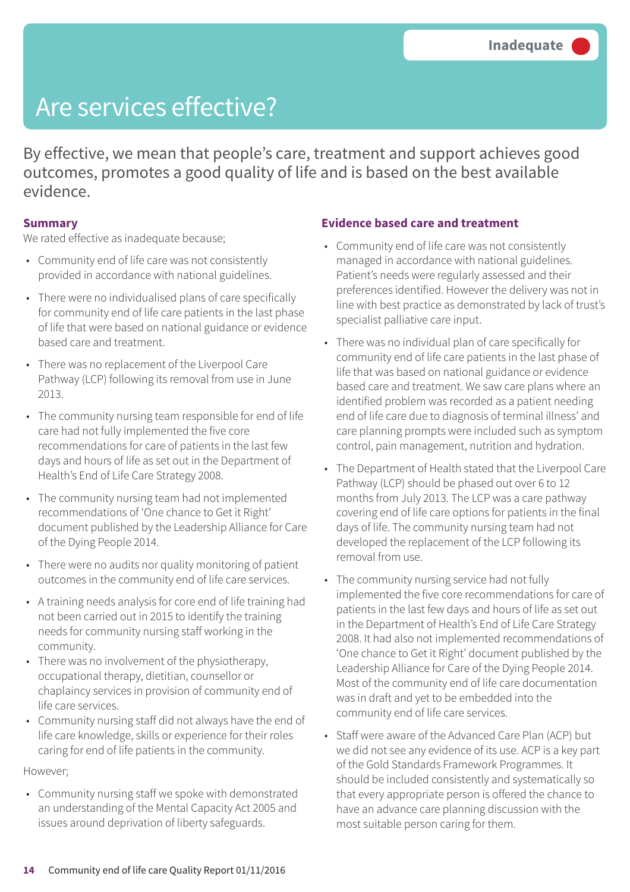By effective, we mean that people's care, treatment and support achieves good outcomes, promotes a good quality of life and is based on the best available evidence.

#### **Summary**

We rated effective as inadequate because;

- Community end of life care was not consistently provided in accordance with national guidelines.
- There were no individualised plans of care specifically for community end of life care patients in the last phase of life that were based on national guidance or evidence based care and treatment.
- There was no replacement of the Liverpool Care Pathway (LCP) following its removal from use in June 2013.
- The community nursing team responsible for end of life care had not fully implemented the five core recommendations for care of patients in the last few days and hours of life as set out in the Department of Health's End of Life Care Strategy 2008.
- The community nursing team had not implemented recommendations of 'One chance to Get it Right' document published by the Leadership Alliance for Care of the Dying People 2014.
- There were no audits nor quality monitoring of patient outcomes in the community end of life care services.
- A training needs analysis for core end of life training had not been carried out in 2015 to identify the training needs for community nursing staff working in the community.
- There was no involvement of the physiotherapy, occupational therapy, dietitian, counsellor or chaplaincy services in provision of community end of life care services.
- Community nursing staff did not always have the end of life care knowledge, skills or experience for their roles caring for end of life patients in the community.

### However;

• Community nursing staff we spoke with demonstrated an understanding of the Mental Capacity Act 2005 and issues around deprivation of liberty safeguards.

### **Evidence based care and treatment**

- Community end of life care was not consistently managed in accordance with national guidelines. Patient's needs were regularly assessed and their preferences identified. However the delivery was not in line with best practice as demonstrated by lack of trust's specialist palliative care input.
- There was no individual plan of care specifically for community end of life care patients in the last phase of life that was based on national guidance or evidence based care and treatment. We saw care plans where an identified problem was recorded as a patient needing end of life care due to diagnosis of terminal illness' and care planning prompts were included such as symptom control, pain management, nutrition and hydration.
- The Department of Health stated that the Liverpool Care Pathway (LCP) should be phased out over 6 to 12 months from July 2013. The LCP was a care pathway covering end of life care options for patients in the final days of life. The community nursing team had not developed the replacement of the LCP following its removal from use.
- The community nursing service had not fully implemented the five core recommendations for care of patients in the last few days and hours of life as set out in the Department of Health's End of Life Care Strategy 2008. It had also not implemented recommendations of 'One chance to Get it Right' document published by the Leadership Alliance for Care of the Dying People 2014. Most of the community end of life care documentation was in draft and yet to be embedded into the community end of life care services.
- Staff were aware of the Advanced Care Plan (ACP) but we did not see any evidence of its use. ACP is a key part of the Gold Standards Framework Programmes. It should be included consistently and systematically so that every appropriate person is offered the chance to have an advance care planning discussion with the most suitable person caring for them.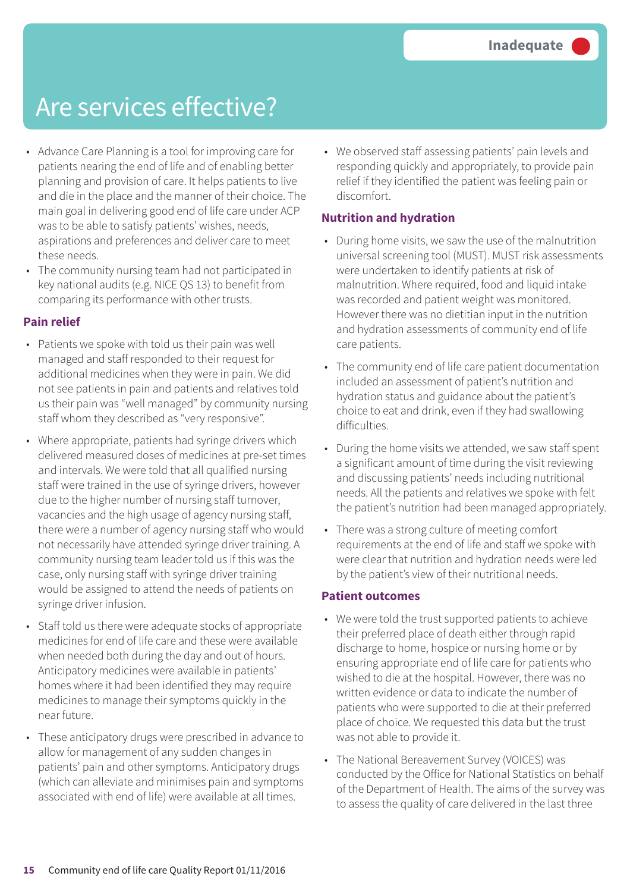- Advance Care Planning is a tool for improving care for patients nearing the end of life and of enabling better planning and provision of care. It helps patients to live and die in the place and the manner of their choice. The main goal in delivering good end of life care under ACP was to be able to satisfy patients' wishes, needs, aspirations and preferences and deliver care to meet these needs.
- The community nursing team had not participated in key national audits (e.g. NICE QS 13) to benefit from comparing its performance with other trusts.

#### **Pain relief**

- Patients we spoke with told us their pain was well managed and staff responded to their request for additional medicines when they were in pain. We did not see patients in pain and patients and relatives told us their pain was "well managed" by community nursing staff whom they described as "very responsive".
- Where appropriate, patients had syringe drivers which delivered measured doses of medicines at pre-set times and intervals. We were told that all qualified nursing staff were trained in the use of syringe drivers, however due to the higher number of nursing staff turnover, vacancies and the high usage of agency nursing staff, there were a number of agency nursing staff who would not necessarily have attended syringe driver training. A community nursing team leader told us if this was the case, only nursing staff with syringe driver training would be assigned to attend the needs of patients on syringe driver infusion.
- Staff told us there were adequate stocks of appropriate medicines for end of life care and these were available when needed both during the day and out of hours. Anticipatory medicines were available in patients' homes where it had been identified they may require medicines to manage their symptoms quickly in the near future.
- These anticipatory drugs were prescribed in advance to allow for management of any sudden changes in patients' pain and other symptoms. Anticipatory drugs (which can alleviate and minimises pain and symptoms associated with end of life) were available at all times.

• We observed staff assessing patients' pain levels and responding quickly and appropriately, to provide pain relief if they identified the patient was feeling pain or discomfort.

### **Nutrition and hydration**

- During home visits, we saw the use of the malnutrition universal screening tool (MUST). MUST risk assessments were undertaken to identify patients at risk of malnutrition. Where required, food and liquid intake was recorded and patient weight was monitored. However there was no dietitian input in the nutrition and hydration assessments of community end of life care patients.
- The community end of life care patient documentation included an assessment of patient's nutrition and hydration status and guidance about the patient's choice to eat and drink, even if they had swallowing difficulties.
- During the home visits we attended, we saw staff spent a significant amount of time during the visit reviewing and discussing patients' needs including nutritional needs. All the patients and relatives we spoke with felt the patient's nutrition had been managed appropriately.
- There was a strong culture of meeting comfort requirements at the end of life and staff we spoke with were clear that nutrition and hydration needs were led by the patient's view of their nutritional needs.

#### **Patient outcomes**

- We were told the trust supported patients to achieve their preferred place of death either through rapid discharge to home, hospice or nursing home or by ensuring appropriate end of life care for patients who wished to die at the hospital. However, there was no written evidence or data to indicate the number of patients who were supported to die at their preferred place of choice. We requested this data but the trust was not able to provide it.
- The National Bereavement Survey (VOICES) was conducted by the Office for National Statistics on behalf of the Department of Health. The aims of the survey was to assess the quality of care delivered in the last three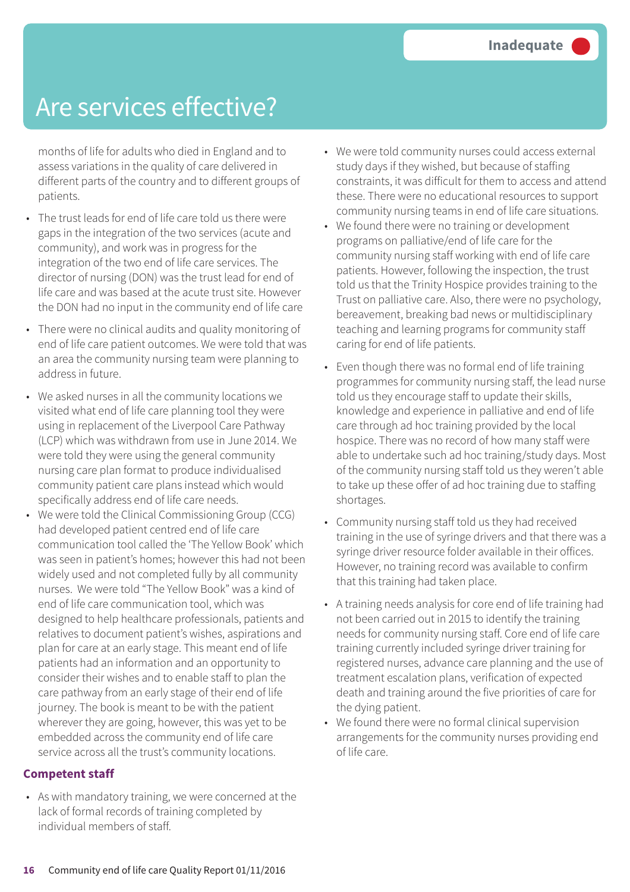months of life for adults who died in England and to assess variations in the quality of care delivered in different parts of the country and to different groups of patients.

- The trust leads for end of life care told us there were gaps in the integration of the two services (acute and community), and work was in progress for the integration of the two end of life care services. The director of nursing (DON) was the trust lead for end of life care and was based at the acute trust site. However the DON had no input in the community end of life care
- There were no clinical audits and quality monitoring of end of life care patient outcomes. We were told that was an area the community nursing team were planning to address in future.
- We asked nurses in all the community locations we visited what end of life care planning tool they were using in replacement of the Liverpool Care Pathway (LCP) which was withdrawn from use in June 2014. We were told they were using the general community nursing care plan format to produce individualised community patient care plans instead which would specifically address end of life care needs.
- We were told the Clinical Commissioning Group (CCG) had developed patient centred end of life care communication tool called the 'The Yellow Book' which was seen in patient's homes; however this had not been widely used and not completed fully by all community nurses. We were told "The Yellow Book" was a kind of end of life care communication tool, which was designed to help healthcare professionals, patients and relatives to document patient's wishes, aspirations and plan for care at an early stage. This meant end of life patients had an information and an opportunity to consider their wishes and to enable staff to plan the care pathway from an early stage of their end of life journey. The book is meant to be with the patient wherever they are going, however, this was yet to be embedded across the community end of life care service across all the trust's community locations.

#### **Competent staff**

• As with mandatory training, we were concerned at the lack of formal records of training completed by individual members of staff.

- We were told community nurses could access external study days if they wished, but because of staffing constraints, it was difficult for them to access and attend these. There were no educational resources to support community nursing teams in end of life care situations.
- We found there were no training or development programs on palliative/end of life care for the community nursing staff working with end of life care patients. However, following the inspection, the trust told us that the Trinity Hospice provides training to the Trust on palliative care. Also, there were no psychology, bereavement, breaking bad news or multidisciplinary teaching and learning programs for community staff caring for end of life patients.
- Even though there was no formal end of life training programmes for community nursing staff, the lead nurse told us they encourage staff to update their skills, knowledge and experience in palliative and end of life care through ad hoc training provided by the local hospice. There was no record of how many staff were able to undertake such ad hoc training/study days. Most of the community nursing staff told us they weren't able to take up these offer of ad hoc training due to staffing shortages.
- Community nursing staff told us they had received training in the use of syringe drivers and that there was a syringe driver resource folder available in their offices. However, no training record was available to confirm that this training had taken place.
- A training needs analysis for core end of life training had not been carried out in 2015 to identify the training needs for community nursing staff. Core end of life care training currently included syringe driver training for registered nurses, advance care planning and the use of treatment escalation plans, verification of expected death and training around the five priorities of care for the dying patient.
- We found there were no formal clinical supervision arrangements for the community nurses providing end of life care.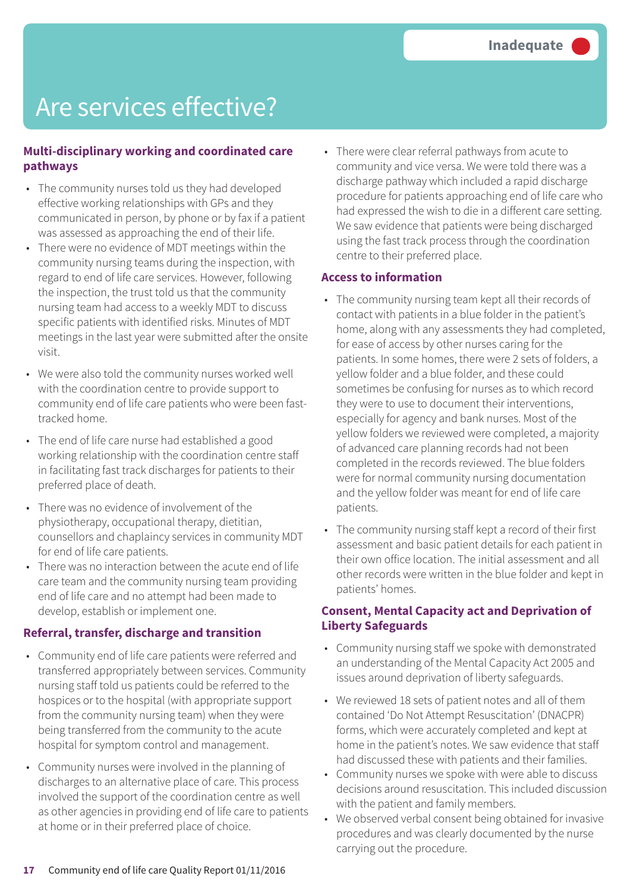#### **Multi-disciplinary working and coordinated care pathways**

- The community nurses told us they had developed effective working relationships with GPs and they communicated in person, by phone or by fax if a patient was assessed as approaching the end of their life.
- There were no evidence of MDT meetings within the community nursing teams during the inspection, with regard to end of life care services. However, following the inspection, the trust told us that the community nursing team had access to a weekly MDT to discuss specific patients with identified risks. Minutes of MDT meetings in the last year were submitted after the onsite visit.
- We were also told the community nurses worked well with the coordination centre to provide support to community end of life care patients who were been fasttracked home.
- The end of life care nurse had established a good working relationship with the coordination centre staff in facilitating fast track discharges for patients to their preferred place of death.
- There was no evidence of involvement of the physiotherapy, occupational therapy, dietitian, counsellors and chaplaincy services in community MDT for end of life care patients.
- There was no interaction between the acute end of life care team and the community nursing team providing end of life care and no attempt had been made to develop, establish or implement one.

#### **Referral, transfer, discharge and transition**

- Community end of life care patients were referred and transferred appropriately between services. Community nursing staff told us patients could be referred to the hospices or to the hospital (with appropriate support from the community nursing team) when they were being transferred from the community to the acute hospital for symptom control and management.
- Community nurses were involved in the planning of discharges to an alternative place of care. This process involved the support of the coordination centre as well as other agencies in providing end of life care to patients at home or in their preferred place of choice.

• There were clear referral pathways from acute to community and vice versa. We were told there was a discharge pathway which included a rapid discharge procedure for patients approaching end of life care who had expressed the wish to die in a different care setting. We saw evidence that patients were being discharged using the fast track process through the coordination centre to their preferred place.

#### **Access to information**

- The community nursing team kept all their records of contact with patients in a blue folder in the patient's home, along with any assessments they had completed, for ease of access by other nurses caring for the patients. In some homes, there were 2 sets of folders, a yellow folder and a blue folder, and these could sometimes be confusing for nurses as to which record they were to use to document their interventions, especially for agency and bank nurses. Most of the yellow folders we reviewed were completed, a majority of advanced care planning records had not been completed in the records reviewed. The blue folders were for normal community nursing documentation and the yellow folder was meant for end of life care patients.
- The community nursing staff kept a record of their first assessment and basic patient details for each patient in their own office location. The initial assessment and all other records were written in the blue folder and kept in patients' homes.

### **Consent, Mental Capacity act and Deprivation of Liberty Safeguards**

- Community nursing staff we spoke with demonstrated an understanding of the Mental Capacity Act 2005 and issues around deprivation of liberty safeguards.
- We reviewed 18 sets of patient notes and all of them contained 'Do Not Attempt Resuscitation' (DNACPR) forms, which were accurately completed and kept at home in the patient's notes. We saw evidence that staff had discussed these with patients and their families.
- Community nurses we spoke with were able to discuss decisions around resuscitation. This included discussion with the patient and family members.
- We observed verbal consent being obtained for invasive procedures and was clearly documented by the nurse carrying out the procedure.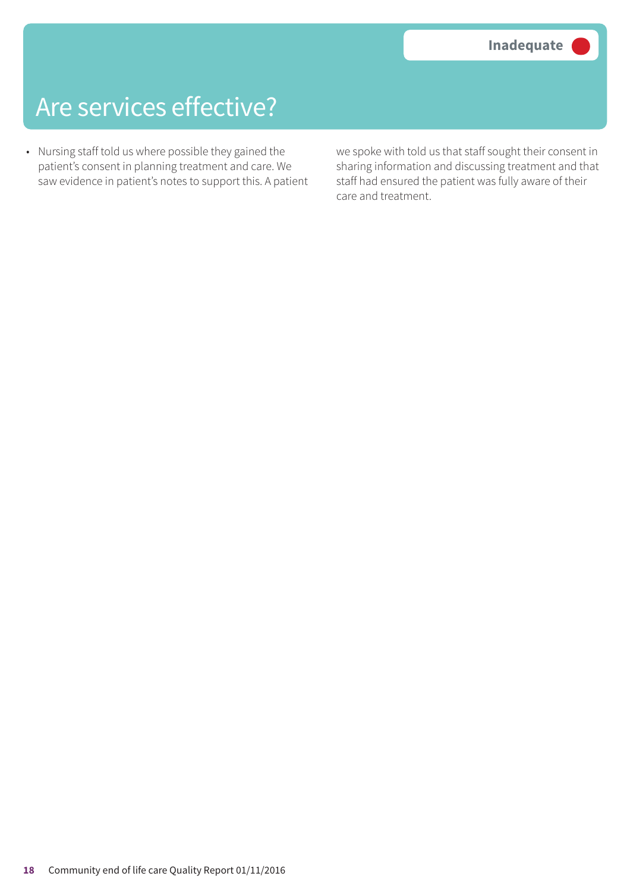• Nursing staff told us where possible they gained the patient's consent in planning treatment and care. We saw evidence in patient's notes to support this. A patient

we spoke with told us that staff sought their consent in sharing information and discussing treatment and that staff had ensured the patient was fully aware of their care and treatment.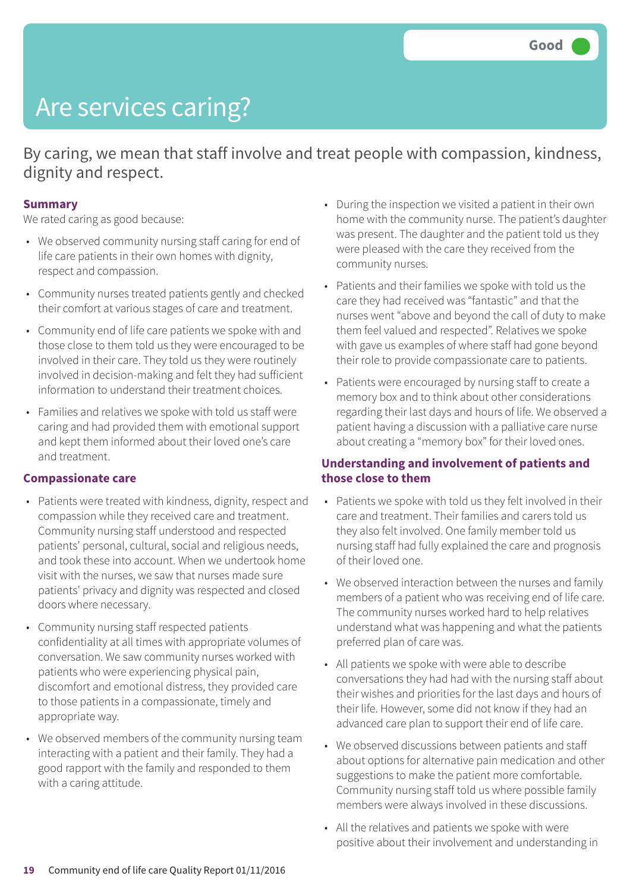# Are services caring?

By caring, we mean that staff involve and treat people with compassion, kindness, dignity and respect.

#### **Summary**

We rated caring as good because:

- We observed community nursing staff caring for end of life care patients in their own homes with dignity, respect and compassion.
- Community nurses treated patients gently and checked their comfort at various stages of care and treatment.
- Community end of life care patients we spoke with and those close to them told us they were encouraged to be involved in their care. They told us they were routinely involved in decision-making and felt they had sufficient information to understand their treatment choices.
- Families and relatives we spoke with told us staff were caring and had provided them with emotional support and kept them informed about their loved one's care and treatment.

#### **Compassionate care**

- Patients were treated with kindness, dignity, respect and compassion while they received care and treatment. Community nursing staff understood and respected patients' personal, cultural, social and religious needs, and took these into account. When we undertook home visit with the nurses, we saw that nurses made sure patients' privacy and dignity was respected and closed doors where necessary.
- Community nursing staff respected patients confidentiality at all times with appropriate volumes of conversation. We saw community nurses worked with patients who were experiencing physical pain, discomfort and emotional distress, they provided care to those patients in a compassionate, timely and appropriate way.
- We observed members of the community nursing team interacting with a patient and their family. They had a good rapport with the family and responded to them with a caring attitude.
- During the inspection we visited a patient in their own home with the community nurse. The patient's daughter was present. The daughter and the patient told us they were pleased with the care they received from the community nurses.
- Patients and their families we spoke with told us the care they had received was "fantastic" and that the nurses went "above and beyond the call of duty to make them feel valued and respected". Relatives we spoke with gave us examples of where staff had gone beyond their role to provide compassionate care to patients.
- Patients were encouraged by nursing staff to create a memory box and to think about other considerations regarding their last days and hours of life. We observed a patient having a discussion with a palliative care nurse about creating a "memory box" for their loved ones.

#### **Understanding and involvement of patients and those close to them**

- Patients we spoke with told us they felt involved in their care and treatment. Their families and carers told us they also felt involved. One family member told us nursing staff had fully explained the care and prognosis of their loved one.
- We observed interaction between the nurses and family members of a patient who was receiving end of life care. The community nurses worked hard to help relatives understand what was happening and what the patients preferred plan of care was.
- All patients we spoke with were able to describe conversations they had had with the nursing staff about their wishes and priorities for the last days and hours of their life. However, some did not know if they had an advanced care plan to support their end of life care.
- We observed discussions between patients and staff about options for alternative pain medication and other suggestions to make the patient more comfortable. Community nursing staff told us where possible family members were always involved in these discussions.
- All the relatives and patients we spoke with were positive about their involvement and understanding in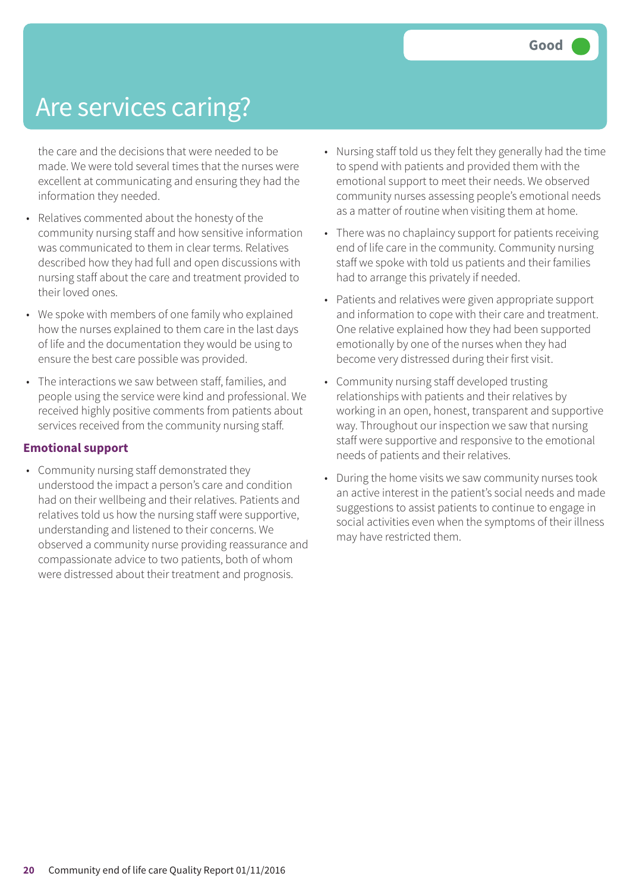### Are services caring?

the care and the decisions that were needed to be made. We were told several times that the nurses were excellent at communicating and ensuring they had the information they needed.

- Relatives commented about the honesty of the community nursing staff and how sensitive information was communicated to them in clear terms. Relatives described how they had full and open discussions with nursing staff about the care and treatment provided to their loved ones.
- We spoke with members of one family who explained how the nurses explained to them care in the last days of life and the documentation they would be using to ensure the best care possible was provided.
- The interactions we saw between staff, families, and people using the service were kind and professional. We received highly positive comments from patients about services received from the community nursing staff.

#### **Emotional support**

• Community nursing staff demonstrated they understood the impact a person's care and condition had on their wellbeing and their relatives. Patients and relatives told us how the nursing staff were supportive, understanding and listened to their concerns. We observed a community nurse providing reassurance and compassionate advice to two patients, both of whom were distressed about their treatment and prognosis.

- Nursing staff told us they felt they generally had the time to spend with patients and provided them with the emotional support to meet their needs. We observed community nurses assessing people's emotional needs as a matter of routine when visiting them at home.
- There was no chaplaincy support for patients receiving end of life care in the community. Community nursing staff we spoke with told us patients and their families had to arrange this privately if needed.
- Patients and relatives were given appropriate support and information to cope with their care and treatment. One relative explained how they had been supported emotionally by one of the nurses when they had become very distressed during their first visit.
- Community nursing staff developed trusting relationships with patients and their relatives by working in an open, honest, transparent and supportive way. Throughout our inspection we saw that nursing staff were supportive and responsive to the emotional needs of patients and their relatives.
- During the home visits we saw community nurses took an active interest in the patient's social needs and made suggestions to assist patients to continue to engage in social activities even when the symptoms of their illness may have restricted them.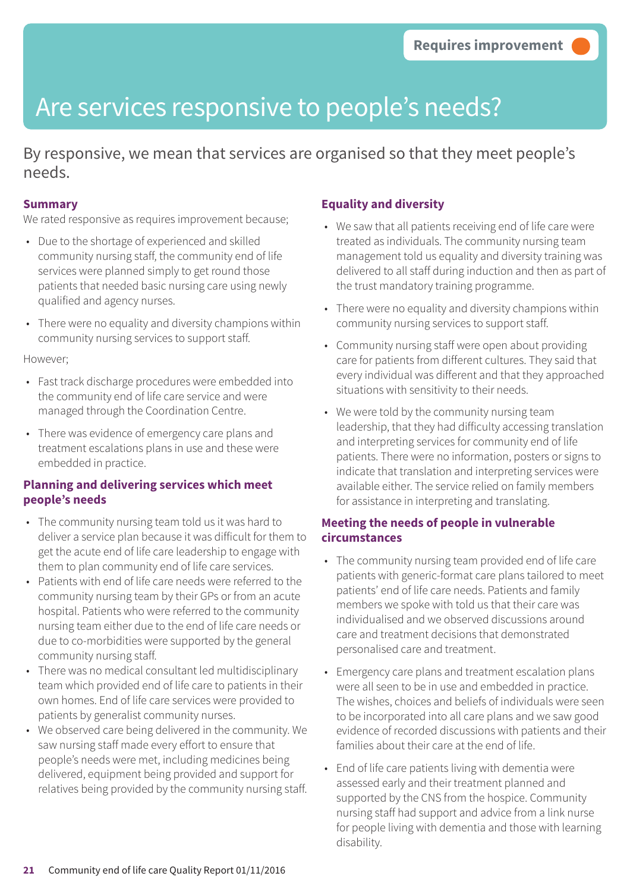### Are services responsive to people's needs?

By responsive, we mean that services are organised so that they meet people's needs.

#### **Summary**

We rated responsive as requires improvement because;

- Due to the shortage of experienced and skilled community nursing staff, the community end of life services were planned simply to get round those patients that needed basic nursing care using newly qualified and agency nurses.
- There were no equality and diversity champions within community nursing services to support staff.

#### However;

- Fast track discharge procedures were embedded into the community end of life care service and were managed through the Coordination Centre.
- There was evidence of emergency care plans and treatment escalations plans in use and these were embedded in practice.

#### **Planning and delivering services which meet people's needs**

- The community nursing team told us it was hard to deliver a service plan because it was difficult for them to get the acute end of life care leadership to engage with them to plan community end of life care services.
- Patients with end of life care needs were referred to the community nursing team by their GPs or from an acute hospital. Patients who were referred to the community nursing team either due to the end of life care needs or due to co-morbidities were supported by the general community nursing staff.
- There was no medical consultant led multidisciplinary team which provided end of life care to patients in their own homes. End of life care services were provided to patients by generalist community nurses.
- We observed care being delivered in the community. We saw nursing staff made every effort to ensure that people's needs were met, including medicines being delivered, equipment being provided and support for relatives being provided by the community nursing staff.

#### **Equality and diversity**

- We saw that all patients receiving end of life care were treated as individuals. The community nursing team management told us equality and diversity training was delivered to all staff during induction and then as part of the trust mandatory training programme.
- There were no equality and diversity champions within community nursing services to support staff.
- Community nursing staff were open about providing care for patients from different cultures. They said that every individual was different and that they approached situations with sensitivity to their needs.
- We were told by the community nursing team leadership, that they had difficulty accessing translation and interpreting services for community end of life patients. There were no information, posters or signs to indicate that translation and interpreting services were available either. The service relied on family members for assistance in interpreting and translating.

#### **Meeting the needs of people in vulnerable circumstances**

- The community nursing team provided end of life care patients with generic-format care plans tailored to meet patients' end of life care needs. Patients and family members we spoke with told us that their care was individualised and we observed discussions around care and treatment decisions that demonstrated personalised care and treatment.
- Emergency care plans and treatment escalation plans were all seen to be in use and embedded in practice. The wishes, choices and beliefs of individuals were seen to be incorporated into all care plans and we saw good evidence of recorded discussions with patients and their families about their care at the end of life.
- End of life care patients living with dementia were assessed early and their treatment planned and supported by the CNS from the hospice. Community nursing staff had support and advice from a link nurse for people living with dementia and those with learning disability.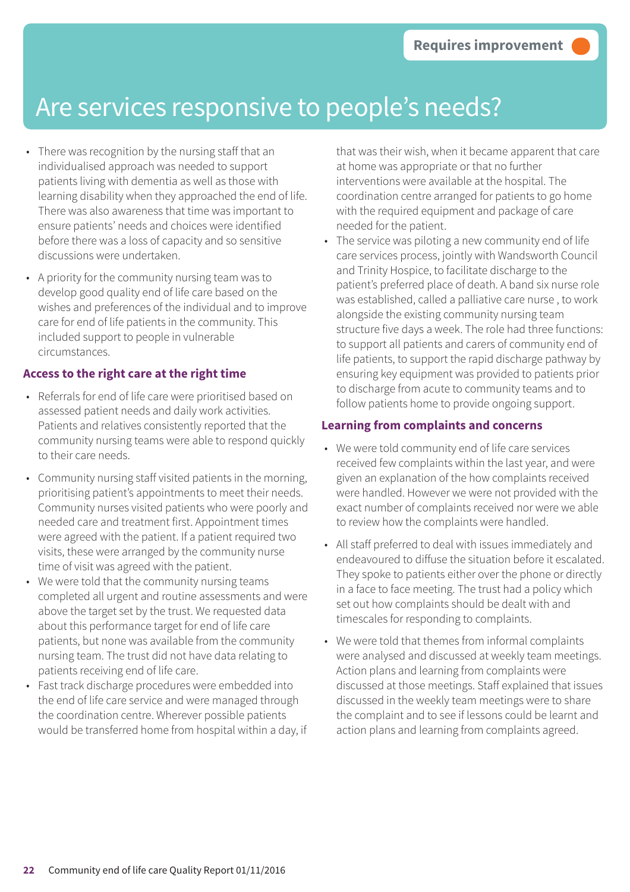### Are services responsive to people's needs?

- There was recognition by the nursing staff that an individualised approach was needed to support patients living with dementia as well as those with learning disability when they approached the end of life. There was also awareness that time was important to ensure patients' needs and choices were identified before there was a loss of capacity and so sensitive discussions were undertaken.
- A priority for the community nursing team was to develop good quality end of life care based on the wishes and preferences of the individual and to improve care for end of life patients in the community. This included support to people in vulnerable circumstances.

### **Access to the right care at the right time**

- Referrals for end of life care were prioritised based on assessed patient needs and daily work activities. Patients and relatives consistently reported that the community nursing teams were able to respond quickly to their care needs.
- Community nursing staff visited patients in the morning, prioritising patient's appointments to meet their needs. Community nurses visited patients who were poorly and needed care and treatment first. Appointment times were agreed with the patient. If a patient required two visits, these were arranged by the community nurse time of visit was agreed with the patient.
- We were told that the community nursing teams completed all urgent and routine assessments and were above the target set by the trust. We requested data about this performance target for end of life care patients, but none was available from the community nursing team. The trust did not have data relating to patients receiving end of life care.
- Fast track discharge procedures were embedded into the end of life care service and were managed through the coordination centre. Wherever possible patients would be transferred home from hospital within a day, if

that was their wish, when it became apparent that care at home was appropriate or that no further interventions were available at the hospital. The coordination centre arranged for patients to go home with the required equipment and package of care needed for the patient.

• The service was piloting a new community end of life care services process, jointly with Wandsworth Council and Trinity Hospice, to facilitate discharge to the patient's preferred place of death. A band six nurse role was established, called a palliative care nurse , to work alongside the existing community nursing team structure five days a week. The role had three functions: to support all patients and carers of community end of life patients, to support the rapid discharge pathway by ensuring key equipment was provided to patients prior to discharge from acute to community teams and to follow patients home to provide ongoing support.

### **Learning from complaints and concerns**

- We were told community end of life care services received few complaints within the last year, and were given an explanation of the how complaints received were handled. However we were not provided with the exact number of complaints received nor were we able to review how the complaints were handled.
- All staff preferred to deal with issues immediately and endeavoured to diffuse the situation before it escalated. They spoke to patients either over the phone or directly in a face to face meeting. The trust had a policy which set out how complaints should be dealt with and timescales for responding to complaints.
- We were told that themes from informal complaints were analysed and discussed at weekly team meetings. Action plans and learning from complaints were discussed at those meetings. Staff explained that issues discussed in the weekly team meetings were to share the complaint and to see if lessons could be learnt and action plans and learning from complaints agreed.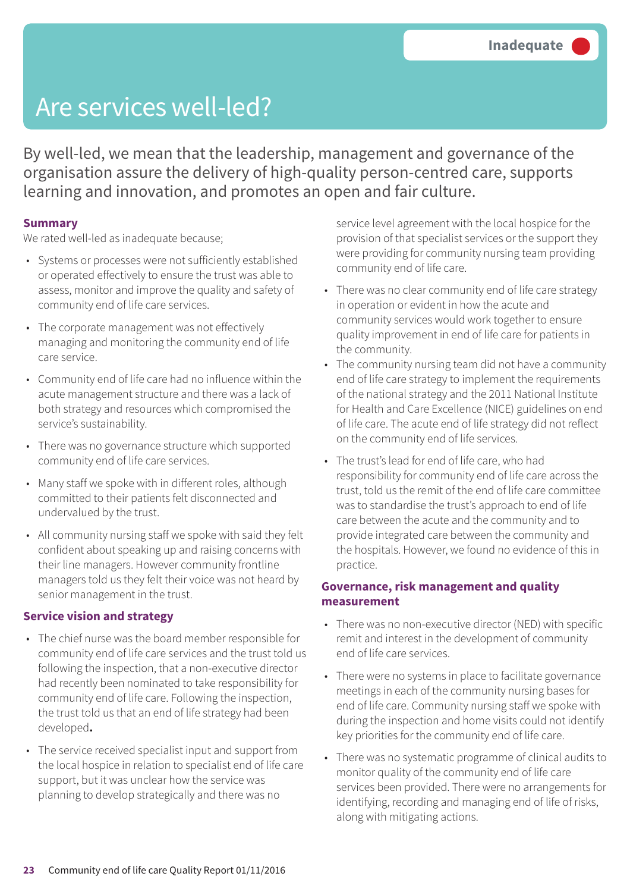### Are services well-led?

By well-led, we mean that the leadership, management and governance of the organisation assure the delivery of high-quality person-centred care, supports learning and innovation, and promotes an open and fair culture.

#### **Summary**

We rated well-led as inadequate because;

- Systems or processes were not sufficiently established or operated effectively to ensure the trust was able to assess, monitor and improve the quality and safety of community end of life care services.
- The corporate management was not effectively managing and monitoring the community end of life care service.
- Community end of life care had no influence within the acute management structure and there was a lack of both strategy and resources which compromised the service's sustainability.
- There was no governance structure which supported community end of life care services.
- Many staff we spoke with in different roles, although committed to their patients felt disconnected and undervalued by the trust.
- All community nursing staff we spoke with said they felt confident about speaking up and raising concerns with their line managers. However community frontline managers told us they felt their voice was not heard by senior management in the trust.

#### **Service vision and strategy**

- The chief nurse was the board member responsible for community end of life care services and the trust told us following the inspection, that a non-executive director had recently been nominated to take responsibility for community end of life care. Following the inspection, the trust told us that an end of life strategy had been developed**.**
- The service received specialist input and support from the local hospice in relation to specialist end of life care support, but it was unclear how the service was planning to develop strategically and there was no

service level agreement with the local hospice for the provision of that specialist services or the support they were providing for community nursing team providing community end of life care.

- There was no clear community end of life care strategy in operation or evident in how the acute and community services would work together to ensure quality improvement in end of life care for patients in the community.
- The community nursing team did not have a community end of life care strategy to implement the requirements of the national strategy and the 2011 National Institute for Health and Care Excellence (NICE) guidelines on end of life care. The acute end of life strategy did not reflect on the community end of life services.
- The trust's lead for end of life care, who had responsibility for community end of life care across the trust, told us the remit of the end of life care committee was to standardise the trust's approach to end of life care between the acute and the community and to provide integrated care between the community and the hospitals. However, we found no evidence of this in practice.

#### **Governance, risk management and quality measurement**

- There was no non-executive director (NED) with specific remit and interest in the development of community end of life care services.
- There were no systems in place to facilitate governance meetings in each of the community nursing bases for end of life care. Community nursing staff we spoke with during the inspection and home visits could not identify key priorities for the community end of life care.
- There was no systematic programme of clinical audits to monitor quality of the community end of life care services been provided. There were no arrangements for identifying, recording and managing end of life of risks, along with mitigating actions.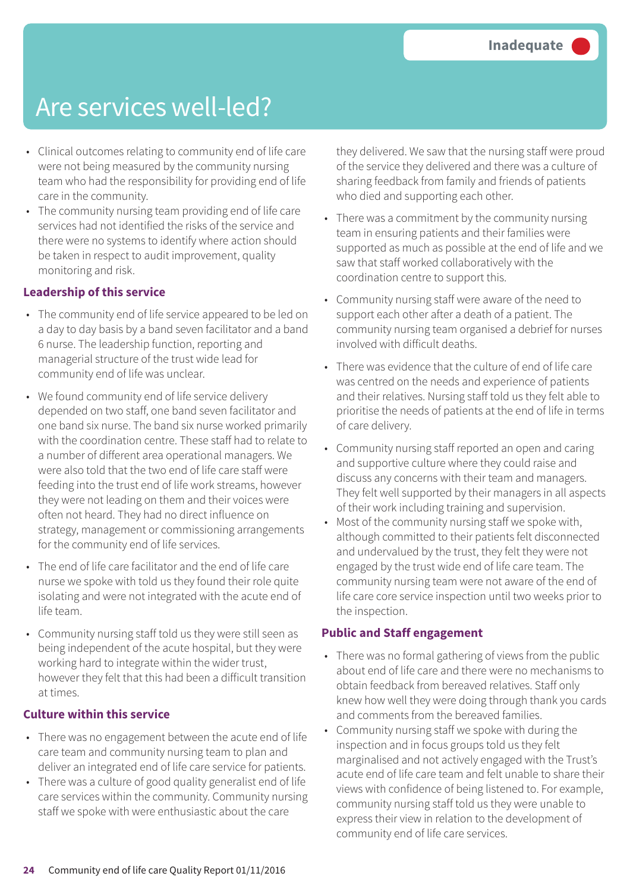### Are services well-led?

- Clinical outcomes relating to community end of life care were not being measured by the community nursing team who had the responsibility for providing end of life care in the community.
- The community nursing team providing end of life care services had not identified the risks of the service and there were no systems to identify where action should be taken in respect to audit improvement, quality monitoring and risk.

#### **Leadership of this service**

- The community end of life service appeared to be led on a day to day basis by a band seven facilitator and a band 6 nurse. The leadership function, reporting and managerial structure of the trust wide lead for community end of life was unclear.
- We found community end of life service delivery depended on two staff, one band seven facilitator and one band six nurse. The band six nurse worked primarily with the coordination centre. These staff had to relate to a number of different area operational managers. We were also told that the two end of life care staff were feeding into the trust end of life work streams, however they were not leading on them and their voices were often not heard. They had no direct influence on strategy, management or commissioning arrangements for the community end of life services.
- The end of life care facilitator and the end of life care nurse we spoke with told us they found their role quite isolating and were not integrated with the acute end of life team.
- Community nursing staff told us they were still seen as being independent of the acute hospital, but they were working hard to integrate within the wider trust, however they felt that this had been a difficult transition at times.

#### **Culture within this service**

- There was no engagement between the acute end of life care team and community nursing team to plan and deliver an integrated end of life care service for patients.
- There was a culture of good quality generalist end of life care services within the community. Community nursing staff we spoke with were enthusiastic about the care

they delivered. We saw that the nursing staff were proud of the service they delivered and there was a culture of sharing feedback from family and friends of patients who died and supporting each other.

- There was a commitment by the community nursing team in ensuring patients and their families were supported as much as possible at the end of life and we saw that staff worked collaboratively with the coordination centre to support this.
- Community nursing staff were aware of the need to support each other after a death of a patient. The community nursing team organised a debrief for nurses involved with difficult deaths.
- There was evidence that the culture of end of life care was centred on the needs and experience of patients and their relatives. Nursing staff told us they felt able to prioritise the needs of patients at the end of life in terms of care delivery.
- Community nursing staff reported an open and caring and supportive culture where they could raise and discuss any concerns with their team and managers. They felt well supported by their managers in all aspects of their work including training and supervision.
- Most of the community nursing staff we spoke with, although committed to their patients felt disconnected and undervalued by the trust, they felt they were not engaged by the trust wide end of life care team. The community nursing team were not aware of the end of life care core service inspection until two weeks prior to the inspection.

#### **Public and Staff engagement**

- There was no formal gathering of views from the public about end of life care and there were no mechanisms to obtain feedback from bereaved relatives. Staff only knew how well they were doing through thank you cards and comments from the bereaved families.
- Community nursing staff we spoke with during the inspection and in focus groups told us they felt marginalised and not actively engaged with the Trust's acute end of life care team and felt unable to share their views with confidence of being listened to. For example, community nursing staff told us they were unable to express their view in relation to the development of community end of life care services.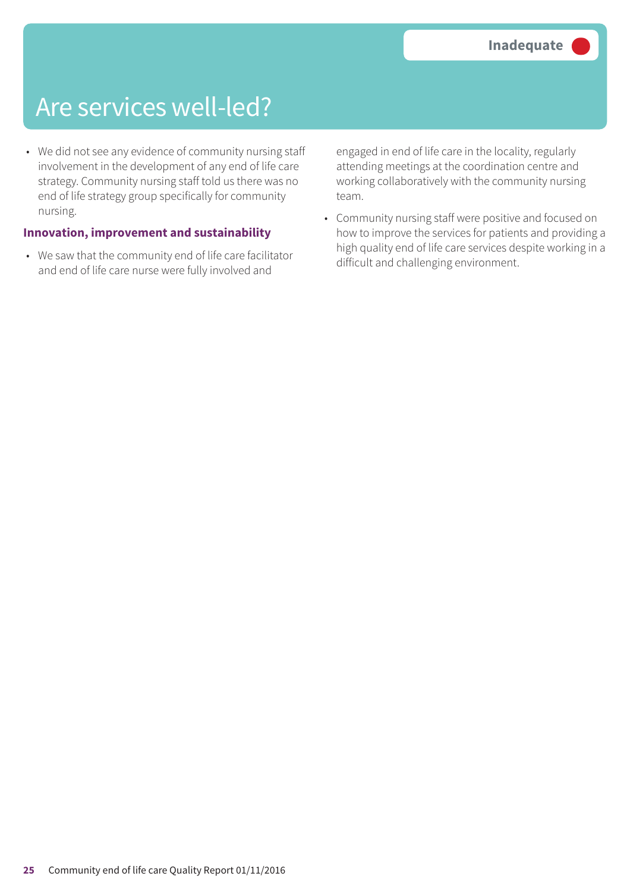### Are services well-led?

• We did not see any evidence of community nursing staff involvement in the development of any end of life care strategy. Community nursing staff told us there was no end of life strategy group specifically for community nursing.

#### **Innovation, improvement and sustainability**

• We saw that the community end of life care facilitator and end of life care nurse were fully involved and

engaged in end of life care in the locality, regularly attending meetings at the coordination centre and working collaboratively with the community nursing team.

• Community nursing staff were positive and focused on how to improve the services for patients and providing a high quality end of life care services despite working in a difficult and challenging environment.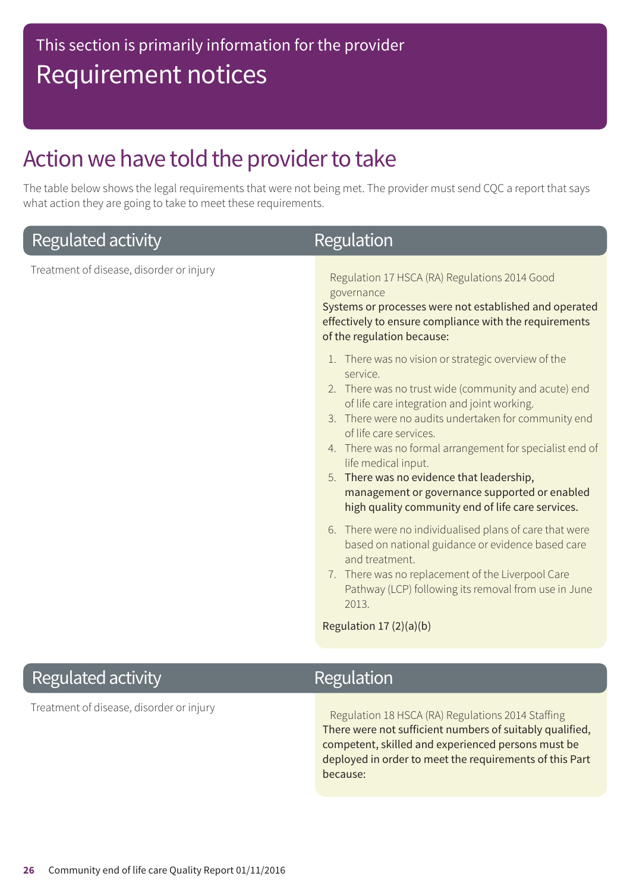### Action we have told the provider to take

The table below shows the legal requirements that were not being met. The provider must send CQC a report that says what action they are going to take to meet these requirements.

| Regulated activity                       | <b>Regulation</b>                                                                                                                                                                                                                                                                                                                                                                                                                                                                                                                                                                                                                                                                                                                                                                                                                                                                                      |
|------------------------------------------|--------------------------------------------------------------------------------------------------------------------------------------------------------------------------------------------------------------------------------------------------------------------------------------------------------------------------------------------------------------------------------------------------------------------------------------------------------------------------------------------------------------------------------------------------------------------------------------------------------------------------------------------------------------------------------------------------------------------------------------------------------------------------------------------------------------------------------------------------------------------------------------------------------|
| Treatment of disease, disorder or injury | Regulation 17 HSCA (RA) Regulations 2014 Good<br>governance<br>Systems or processes were not established and operated<br>effectively to ensure compliance with the requirements<br>of the regulation because:<br>1. There was no vision or strategic overview of the<br>service.<br>2. There was no trust wide (community and acute) end<br>of life care integration and joint working.<br>3. There were no audits undertaken for community end<br>of life care services.<br>4. There was no formal arrangement for specialist end of<br>life medical input.<br>5. There was no evidence that leadership,<br>management or governance supported or enabled<br>high quality community end of life care services.<br>6. There were no individualised plans of care that were<br>based on national guidance or evidence based care<br>and treatment.<br>7. There was no replacement of the Liverpool Care |
|                                          | Pathway (LCP) following its removal from use in June<br>2013.                                                                                                                                                                                                                                                                                                                                                                                                                                                                                                                                                                                                                                                                                                                                                                                                                                          |
|                                          | Regulation 17 (2)(a)(b)                                                                                                                                                                                                                                                                                                                                                                                                                                                                                                                                                                                                                                                                                                                                                                                                                                                                                |
| Regulated activity                       | <b>Regulation</b>                                                                                                                                                                                                                                                                                                                                                                                                                                                                                                                                                                                                                                                                                                                                                                                                                                                                                      |
| Treatment of disease, disorder or injury | Regulation 18 HSCA (RA) Regulations 2014 Staffing<br>There were not cufficient numbers of quitably qualified                                                                                                                                                                                                                                                                                                                                                                                                                                                                                                                                                                                                                                                                                                                                                                                           |

There were not sufficient numbers of suitably qualified, competent, skilled and experienced persons must be deployed in order to meet the requirements of this Part because: